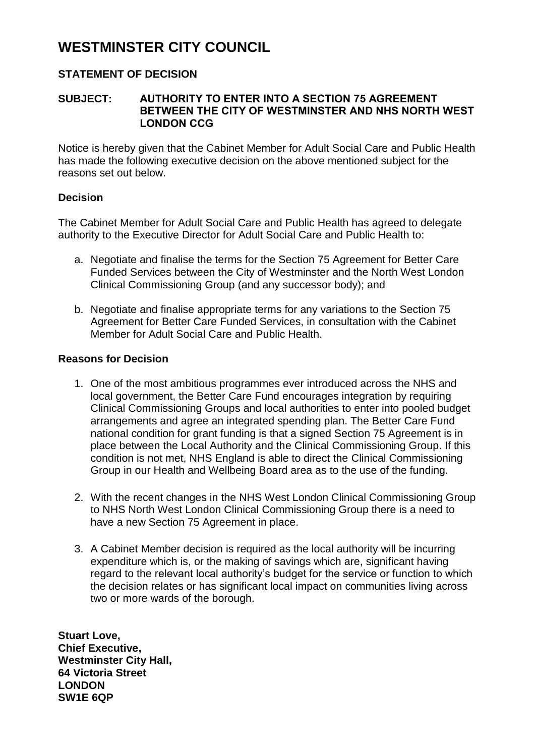# **WESTMINSTER CITY COUNCIL**

## **STATEMENT OF DECISION**

#### **SUBJECT: AUTHORITY TO ENTER INTO A SECTION 75 AGREEMENT BETWEEN THE CITY OF WESTMINSTER AND NHS NORTH WEST LONDON CCG**

Notice is hereby given that the Cabinet Member for Adult Social Care and Public Health has made the following executive decision on the above mentioned subject for the reasons set out below.

#### **Decision**

The Cabinet Member for Adult Social Care and Public Health has agreed to delegate authority to the Executive Director for Adult Social Care and Public Health to:

- a. Negotiate and finalise the terms for the Section 75 Agreement for Better Care Funded Services between the City of Westminster and the North West London Clinical Commissioning Group (and any successor body); and
- b. Negotiate and finalise appropriate terms for any variations to the Section 75 Agreement for Better Care Funded Services, in consultation with the Cabinet Member for Adult Social Care and Public Health.

### **Reasons for Decision**

- 1. One of the most ambitious programmes ever introduced across the NHS and local government, the Better Care Fund encourages integration by requiring Clinical Commissioning Groups and local authorities to enter into pooled budget arrangements and agree an integrated spending plan. The Better Care Fund national condition for grant funding is that a signed Section 75 Agreement is in place between the Local Authority and the Clinical Commissioning Group. If this condition is not met, NHS England is able to direct the Clinical Commissioning Group in our Health and Wellbeing Board area as to the use of the funding.
- 2. With the recent changes in the NHS West London Clinical Commissioning Group to NHS North West London Clinical Commissioning Group there is a need to have a new Section 75 Agreement in place.
- 3. A Cabinet Member decision is required as the local authority will be incurring expenditure which is, or the making of savings which are, significant having regard to the relevant local authority's budget for the service or function to which the decision relates or has significant local impact on communities living across two or more wards of the borough.

**Stuart Love, Chief Executive, Westminster City Hall, 64 Victoria Street LONDON SW1E 6QP**